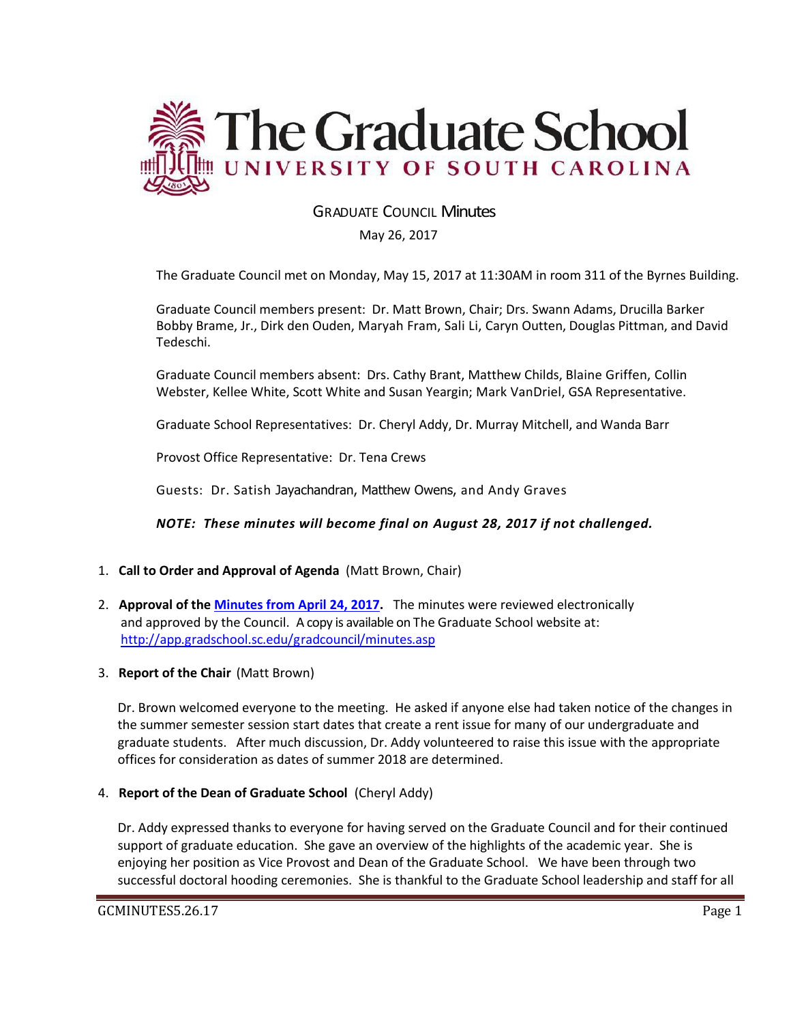

# GRADUATE COUNCIL Minutes

May 26, 2017

The Graduate Council met on Monday, May 15, 2017 at 11:30AM in room 311 of the Byrnes Building.

Graduate Council members present: Dr. Matt Brown, Chair; Drs. Swann Adams, Drucilla Barker Bobby Brame, Jr., Dirk den Ouden, Maryah Fram, Sali Li, Caryn Outten, Douglas Pittman, and David Tedeschi.

Graduate Council members absent: Drs. Cathy Brant, Matthew Childs, Blaine Griffen, Collin Webster, Kellee White, Scott White and Susan Yeargin; Mark VanDriel, GSA Representative.

Graduate School Representatives: Dr. Cheryl Addy, Dr. Murray Mitchell, and Wanda Barr

Provost Office Representative: Dr. Tena Crews

Guests: Dr. Satish Jayachandran, Matthew Owens, and Andy Graves

*NOTE: These minutes will become final on August 28, 2017 if not challenged.* 

- 1. **Call to Order and Approval of Agenda** (Matt Brown, Chair)
- 2. **Approval of the [Minutes from April 24, 2017.](file:///C:/Users/wandab/Local%20Documents/Graduate%20Council/Grad%20Council%20Minutes/GCMINS.%204.28.17%20w%204attachments.pdf)** The minutes were reviewed electronically and approved by the Council. A copy is available on The Graduate School website at: <http://app.gradschool.sc.edu/gradcouncil/minutes.asp>
- 3. **Report of the Chair** (Matt Brown)

Dr. Brown welcomed everyone to the meeting. He asked if anyone else had taken notice of the changes in the summer semester session start dates that create a rent issue for many of our undergraduate and graduate students. After much discussion, Dr. Addy volunteered to raise this issue with the appropriate offices for consideration as dates of summer 2018 are determined.

4. **Report of the Dean of Graduate School** (Cheryl Addy)

Dr. Addy expressed thanks to everyone for having served on the Graduate Council and for their continued support of graduate education. She gave an overview of the highlights of the academic year. She is enjoying her position as Vice Provost and Dean of the Graduate School. We have been through two successful doctoral hooding ceremonies. She is thankful to the Graduate School leadership and staff for all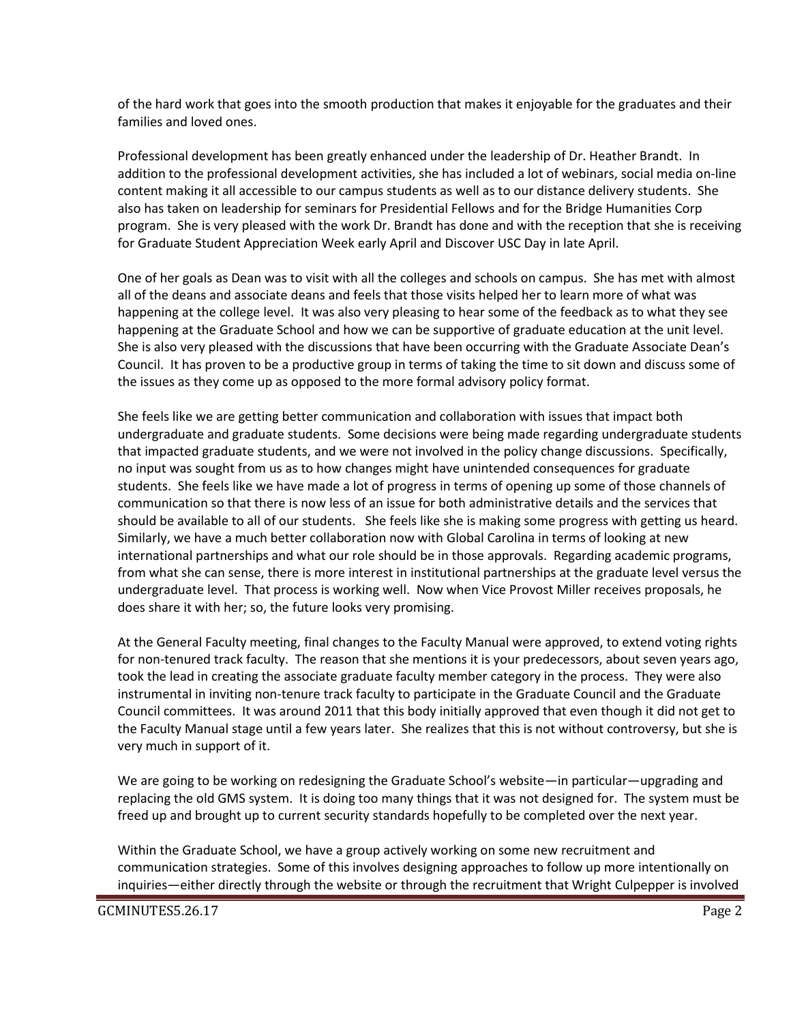of the hard work that goes into the smooth production that makes it enjoyable for the graduates and their families and loved ones.

Professional development has been greatly enhanced under the leadership of Dr. Heather Brandt. In addition to the professional development activities, she has included a lot of webinars, social media on-line content making it all accessible to our campus students as well as to our distance delivery students. She also has taken on leadership for seminars for Presidential Fellows and for the Bridge Humanities Corp program. She is very pleased with the work Dr. Brandt has done and with the reception that she is receiving for Graduate Student Appreciation Week early April and Discover USC Day in late April.

One of her goals as Dean was to visit with all the colleges and schools on campus. She has met with almost all of the deans and associate deans and feels that those visits helped her to learn more of what was happening at the college level. It was also very pleasing to hear some of the feedback as to what they see happening at the Graduate School and how we can be supportive of graduate education at the unit level. She is also very pleased with the discussions that have been occurring with the Graduate Associate Dean's Council. It has proven to be a productive group in terms of taking the time to sit down and discuss some of the issues as they come up as opposed to the more formal advisory policy format.

She feels like we are getting better communication and collaboration with issues that impact both undergraduate and graduate students. Some decisions were being made regarding undergraduate students that impacted graduate students, and we were not involved in the policy change discussions. Specifically, no input was sought from us as to how changes might have unintended consequences for graduate students. She feels like we have made a lot of progress in terms of opening up some of those channels of communication so that there is now less of an issue for both administrative details and the services that should be available to all of our students. She feels like she is making some progress with getting us heard. Similarly, we have a much better collaboration now with Global Carolina in terms of looking at new international partnerships and what our role should be in those approvals. Regarding academic programs, from what she can sense, there is more interest in institutional partnerships at the graduate level versus the undergraduate level. That process is working well. Now when Vice Provost Miller receives proposals, he does share it with her; so, the future looks very promising.

At the General Faculty meeting, final changes to the Faculty Manual were approved, to extend voting rights for non-tenured track faculty. The reason that she mentions it is your predecessors, about seven years ago, took the lead in creating the associate graduate faculty member category in the process. They were also instrumental in inviting non-tenure track faculty to participate in the Graduate Council and the Graduate Council committees. It was around 2011 that this body initially approved that even though it did not get to the Faculty Manual stage until a few years later. She realizes that this is not without controversy, but she is very much in support of it.

We are going to be working on redesigning the Graduate School's website—in particular—upgrading and replacing the old GMS system. It is doing too many things that it was not designed for. The system must be freed up and brought up to current security standards hopefully to be completed over the next year.

Within the Graduate School, we have a group actively working on some new recruitment and communication strategies. Some of this involves designing approaches to follow up more intentionally on inquiries—either directly through the website or through the recruitment that Wright Culpepper is involved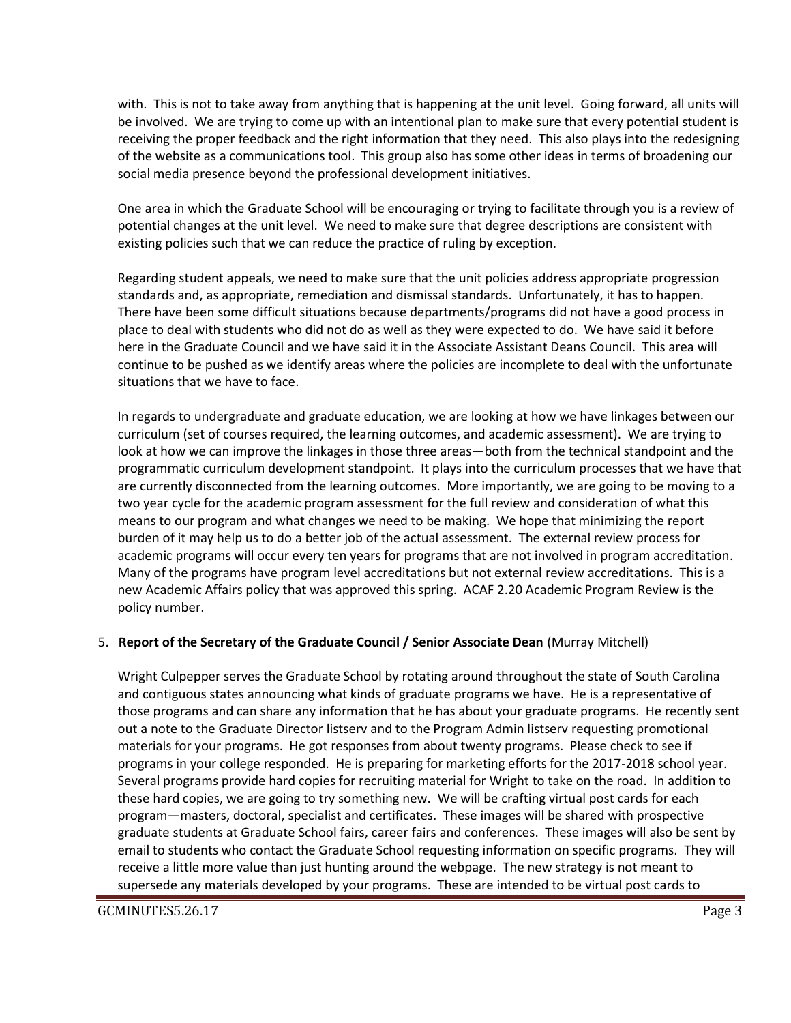with. This is not to take away from anything that is happening at the unit level. Going forward, all units will be involved. We are trying to come up with an intentional plan to make sure that every potential student is receiving the proper feedback and the right information that they need. This also plays into the redesigning of the website as a communications tool. This group also has some other ideas in terms of broadening our social media presence beyond the professional development initiatives.

One area in which the Graduate School will be encouraging or trying to facilitate through you is a review of potential changes at the unit level. We need to make sure that degree descriptions are consistent with existing policies such that we can reduce the practice of ruling by exception.

Regarding student appeals, we need to make sure that the unit policies address appropriate progression standards and, as appropriate, remediation and dismissal standards. Unfortunately, it has to happen. There have been some difficult situations because departments/programs did not have a good process in place to deal with students who did not do as well as they were expected to do. We have said it before here in the Graduate Council and we have said it in the Associate Assistant Deans Council. This area will continue to be pushed as we identify areas where the policies are incomplete to deal with the unfortunate situations that we have to face.

In regards to undergraduate and graduate education, we are looking at how we have linkages between our curriculum (set of courses required, the learning outcomes, and academic assessment). We are trying to look at how we can improve the linkages in those three areas—both from the technical standpoint and the programmatic curriculum development standpoint. It plays into the curriculum processes that we have that are currently disconnected from the learning outcomes. More importantly, we are going to be moving to a two year cycle for the academic program assessment for the full review and consideration of what this means to our program and what changes we need to be making. We hope that minimizing the report burden of it may help us to do a better job of the actual assessment. The external review process for academic programs will occur every ten years for programs that are not involved in program accreditation. Many of the programs have program level accreditations but not external review accreditations. This is a new Academic Affairs policy that was approved this spring. ACAF 2.20 Academic Program Review is the policy number.

# 5. **Report of the Secretary of the Graduate Council / Senior Associate Dean** (Murray Mitchell)

Wright Culpepper serves the Graduate School by rotating around throughout the state of South Carolina and contiguous states announcing what kinds of graduate programs we have. He is a representative of those programs and can share any information that he has about your graduate programs. He recently sent out a note to the Graduate Director listserv and to the Program Admin listserv requesting promotional materials for your programs. He got responses from about twenty programs. Please check to see if programs in your college responded. He is preparing for marketing efforts for the 2017-2018 school year. Several programs provide hard copies for recruiting material for Wright to take on the road. In addition to these hard copies, we are going to try something new. We will be crafting virtual post cards for each program—masters, doctoral, specialist and certificates. These images will be shared with prospective graduate students at Graduate School fairs, career fairs and conferences. These images will also be sent by email to students who contact the Graduate School requesting information on specific programs. They will receive a little more value than just hunting around the webpage. The new strategy is not meant to supersede any materials developed by your programs. These are intended to be virtual post cards to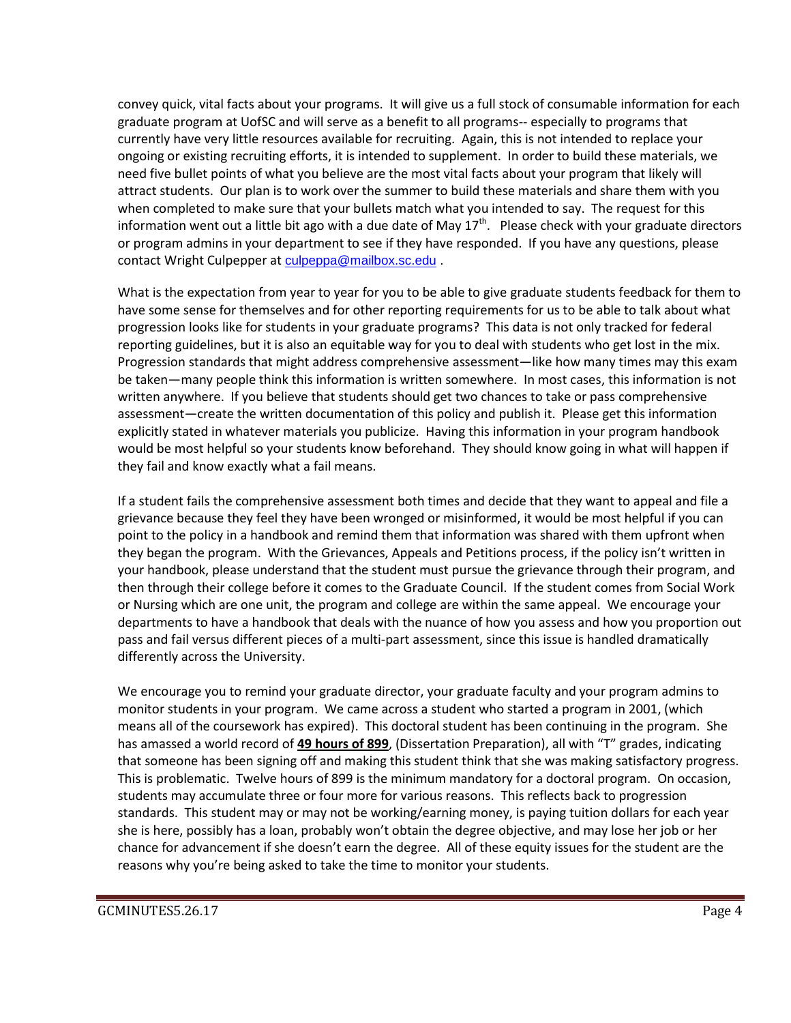convey quick, vital facts about your programs. It will give us a full stock of consumable information for each graduate program at UofSC and will serve as a benefit to all programs-- especially to programs that currently have very little resources available for recruiting. Again, this is not intended to replace your ongoing or existing recruiting efforts, it is intended to supplement. In order to build these materials, we need five bullet points of what you believe are the most vital facts about your program that likely will attract students. Our plan is to work over the summer to build these materials and share them with you when completed to make sure that your bullets match what you intended to say. The request for this information went out a little bit ago with a due date of May  $17<sup>th</sup>$ . Please check with your graduate directors or program admins in your department to see if they have responded. If you have any questions, please contact Wright Culpepper at [culpeppa@mailbox.sc.edu](mailto:culpeppa@mailbox.sc.edu).

What is the expectation from year to year for you to be able to give graduate students feedback for them to have some sense for themselves and for other reporting requirements for us to be able to talk about what progression looks like for students in your graduate programs? This data is not only tracked for federal reporting guidelines, but it is also an equitable way for you to deal with students who get lost in the mix. Progression standards that might address comprehensive assessment—like how many times may this exam be taken—many people think this information is written somewhere. In most cases, this information is not written anywhere. If you believe that students should get two chances to take or pass comprehensive assessment—create the written documentation of this policy and publish it. Please get this information explicitly stated in whatever materials you publicize. Having this information in your program handbook would be most helpful so your students know beforehand. They should know going in what will happen if they fail and know exactly what a fail means.

If a student fails the comprehensive assessment both times and decide that they want to appeal and file a grievance because they feel they have been wronged or misinformed, it would be most helpful if you can point to the policy in a handbook and remind them that information was shared with them upfront when they began the program. With the Grievances, Appeals and Petitions process, if the policy isn't written in your handbook, please understand that the student must pursue the grievance through their program, and then through their college before it comes to the Graduate Council. If the student comes from Social Work or Nursing which are one unit, the program and college are within the same appeal. We encourage your departments to have a handbook that deals with the nuance of how you assess and how you proportion out pass and fail versus different pieces of a multi-part assessment, since this issue is handled dramatically differently across the University.

We encourage you to remind your graduate director, your graduate faculty and your program admins to monitor students in your program. We came across a student who started a program in 2001, (which means all of the coursework has expired). This doctoral student has been continuing in the program. She has amassed a world record of **49 hours of 899**, (Dissertation Preparation), all with "T" grades, indicating that someone has been signing off and making this student think that she was making satisfactory progress. This is problematic. Twelve hours of 899 is the minimum mandatory for a doctoral program. On occasion, students may accumulate three or four more for various reasons. This reflects back to progression standards. This student may or may not be working/earning money, is paying tuition dollars for each year she is here, possibly has a loan, probably won't obtain the degree objective, and may lose her job or her chance for advancement if she doesn't earn the degree. All of these equity issues for the student are the reasons why you're being asked to take the time to monitor your students.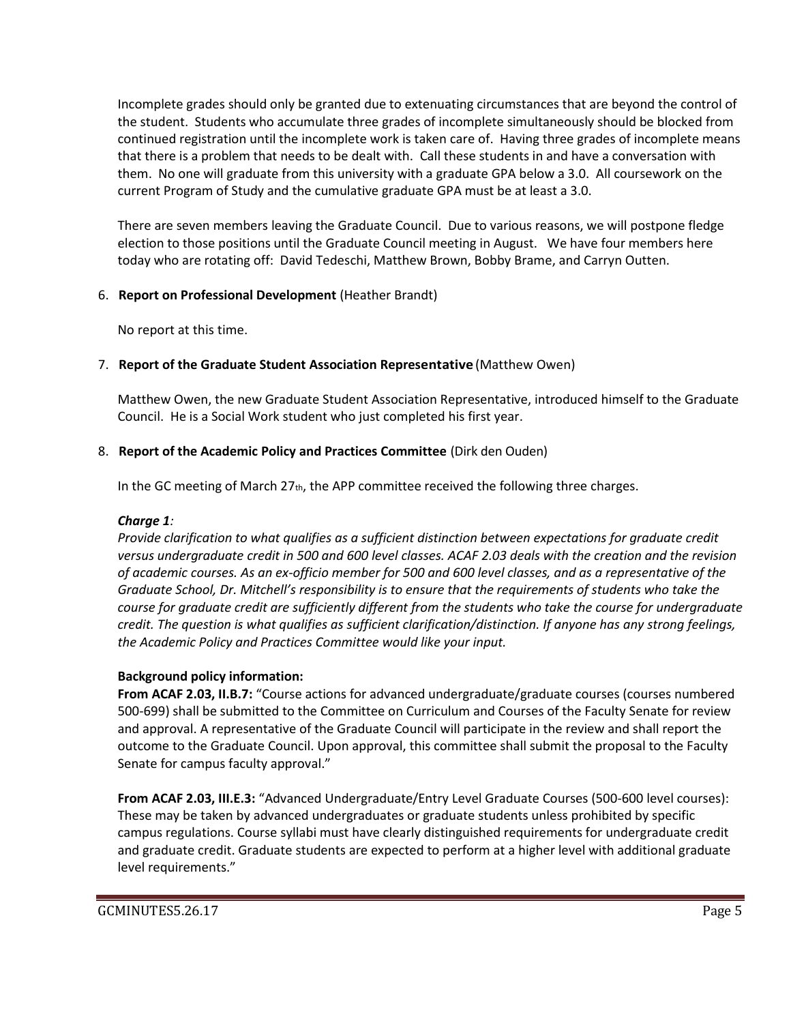Incomplete grades should only be granted due to extenuating circumstances that are beyond the control of the student. Students who accumulate three grades of incomplete simultaneously should be blocked from continued registration until the incomplete work is taken care of. Having three grades of incomplete means that there is a problem that needs to be dealt with. Call these students in and have a conversation with them. No one will graduate from this university with a graduate GPA below a 3.0. All coursework on the current Program of Study and the cumulative graduate GPA must be at least a 3.0.

There are seven members leaving the Graduate Council. Due to various reasons, we will postpone fledge election to those positions until the Graduate Council meeting in August. We have four members here today who are rotating off: David Tedeschi, Matthew Brown, Bobby Brame, and Carryn Outten.

# 6. **Report on Professional Development** (Heather Brandt)

No report at this time.

### 7. **Report of the Graduate Student Association Representative** (Matthew Owen)

Matthew Owen, the new Graduate Student Association Representative, introduced himself to the Graduate Council. He is a Social Work student who just completed his first year.

### 8. **Report of the Academic Policy and Practices Committee** (Dirk den Ouden)

In the GC meeting of March  $27<sub>th</sub>$ , the APP committee received the following three charges.

# *Charge 1:*

*Provide clarification to what qualifies as a sufficient distinction between expectations for graduate credit versus undergraduate credit in 500 and 600 level classes. ACAF 2.03 deals with the creation and the revision of academic courses. As an ex-officio member for 500 and 600 level classes, and as a representative of the Graduate School, Dr. Mitchell's responsibility is to ensure that the requirements of students who take the course for graduate credit are sufficiently different from the students who take the course for undergraduate credit. The question is what qualifies as sufficient clarification/distinction. If anyone has any strong feelings, the Academic Policy and Practices Committee would like your input.* 

#### **Background policy information:**

**From ACAF 2.03, II.B.7:** "Course actions for advanced undergraduate/graduate courses (courses numbered 500-699) shall be submitted to the Committee on Curriculum and Courses of the Faculty Senate for review and approval. A representative of the Graduate Council will participate in the review and shall report the outcome to the Graduate Council. Upon approval, this committee shall submit the proposal to the Faculty Senate for campus faculty approval."

**From ACAF 2.03, III.E.3:** "Advanced Undergraduate/Entry Level Graduate Courses (500-600 level courses): These may be taken by advanced undergraduates or graduate students unless prohibited by specific campus regulations. Course syllabi must have clearly distinguished requirements for undergraduate credit and graduate credit. Graduate students are expected to perform at a higher level with additional graduate level requirements."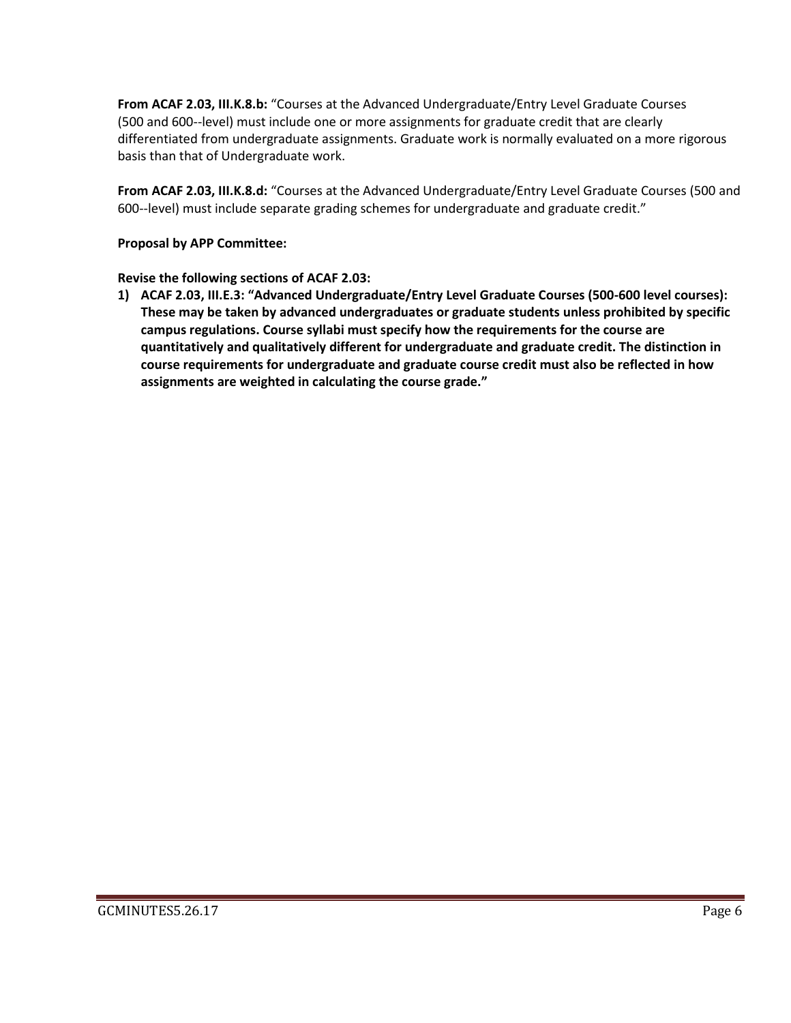**From ACAF 2.03, III.K.8.b:** "Courses at the Advanced Undergraduate/Entry Level Graduate Courses (500 and 600--level) must include one or more assignments for graduate credit that are clearly differentiated from undergraduate assignments. Graduate work is normally evaluated on a more rigorous basis than that of Undergraduate work.

**From ACAF 2.03, III.K.8.d:** "Courses at the Advanced Undergraduate/Entry Level Graduate Courses (500 and 600--level) must include separate grading schemes for undergraduate and graduate credit."

### **Proposal by APP Committee:**

**Revise the following sections of ACAF 2.03:** 

**1) ACAF 2.03, III.E.3: "Advanced Undergraduate/Entry Level Graduate Courses (500-600 level courses): These may be taken by advanced undergraduates or graduate students unless prohibited by specific campus regulations. Course syllabi must specify how the requirements for the course are quantitatively and qualitatively different for undergraduate and graduate credit. The distinction in course requirements for undergraduate and graduate course credit must also be reflected in how assignments are weighted in calculating the course grade."**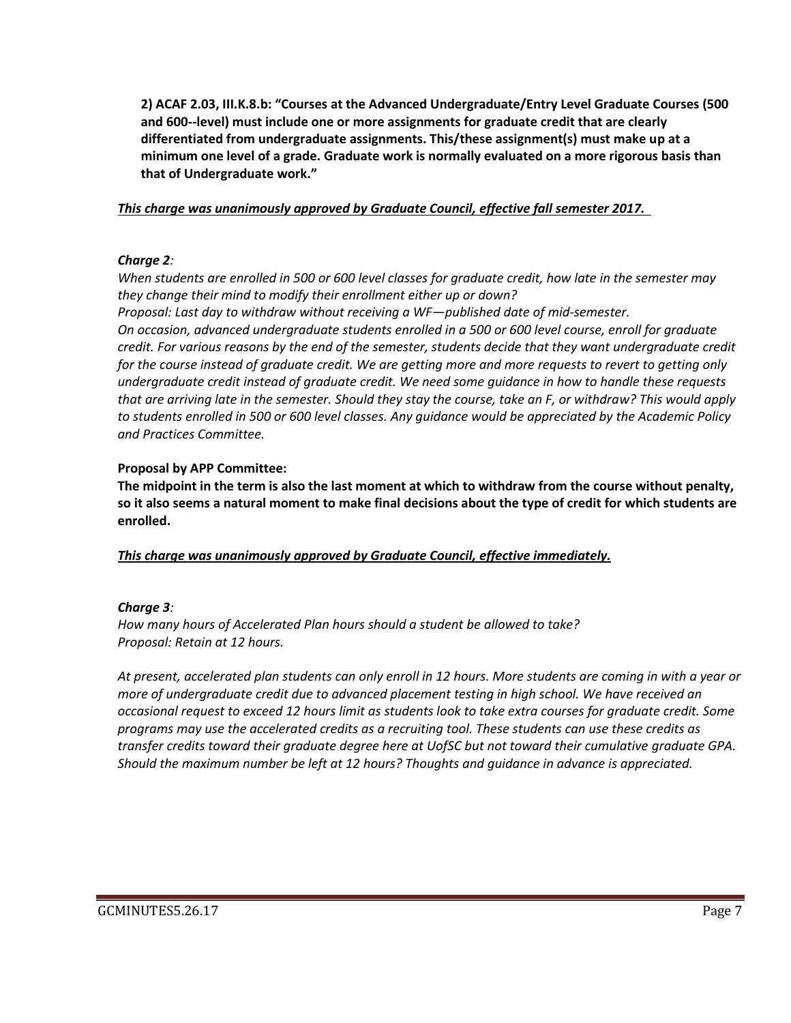**2) ACAF 2.03, III.K.8.b: "Courses at the Advanced Undergraduate/Entry Level Graduate Courses (500 and 600--level) must include one or more assignments for graduate credit that are clearly differentiated from undergraduate assignments. This/these assignment(s) must make up at a minimum one level of a grade. Graduate work is normally evaluated on a more rigorous basis than that of Undergraduate work."** 

### *This charge was unanimously approved by Graduate Council, effective fall semester 2017.*

#### *Charge 2:*

*When students are enrolled in 500 or 600 level classes for graduate credit, how late in the semester may they change their mind to modify their enrollment either up or down?* 

*Proposal: Last day to withdraw without receiving a WF—published date of mid-semester.* 

*On occasion, advanced undergraduate students enrolled in a 500 or 600 level course, enroll for graduate credit. For various reasons by the end of the semester, students decide that they want undergraduate credit for the course instead of graduate credit. We are getting more and more requests to revert to getting only undergraduate credit instead of graduate credit. We need some guidance in how to handle these requests that are arriving late in the semester. Should they stay the course, take an F, or withdraw? This would apply to students enrolled in 500 or 600 level classes. Any guidance would be appreciated by the Academic Policy and Practices Committee.* 

### **Proposal by APP Committee:**

**The midpoint in the term is also the last moment at which to withdraw from the course without penalty, so it also seems a natural moment to make final decisions about the type of credit for which students are enrolled.** 

*This charge was unanimously approved by Graduate Council, effective immediately.*

# *Charge 3:*

*How many hours of Accelerated Plan hours should a student be allowed to take? Proposal: Retain at 12 hours.* 

*At present, accelerated plan students can only enroll in 12 hours. More students are coming in with a year or more of undergraduate credit due to advanced placement testing in high school. We have received an occasional request to exceed 12 hours limit as students look to take extra courses for graduate credit. Some programs may use the accelerated credits as a recruiting tool. These students can use these credits as transfer credits toward their graduate degree here at UofSC but not toward their cumulative graduate GPA. Should the maximum number be left at 12 hours? Thoughts and guidance in advance is appreciated.*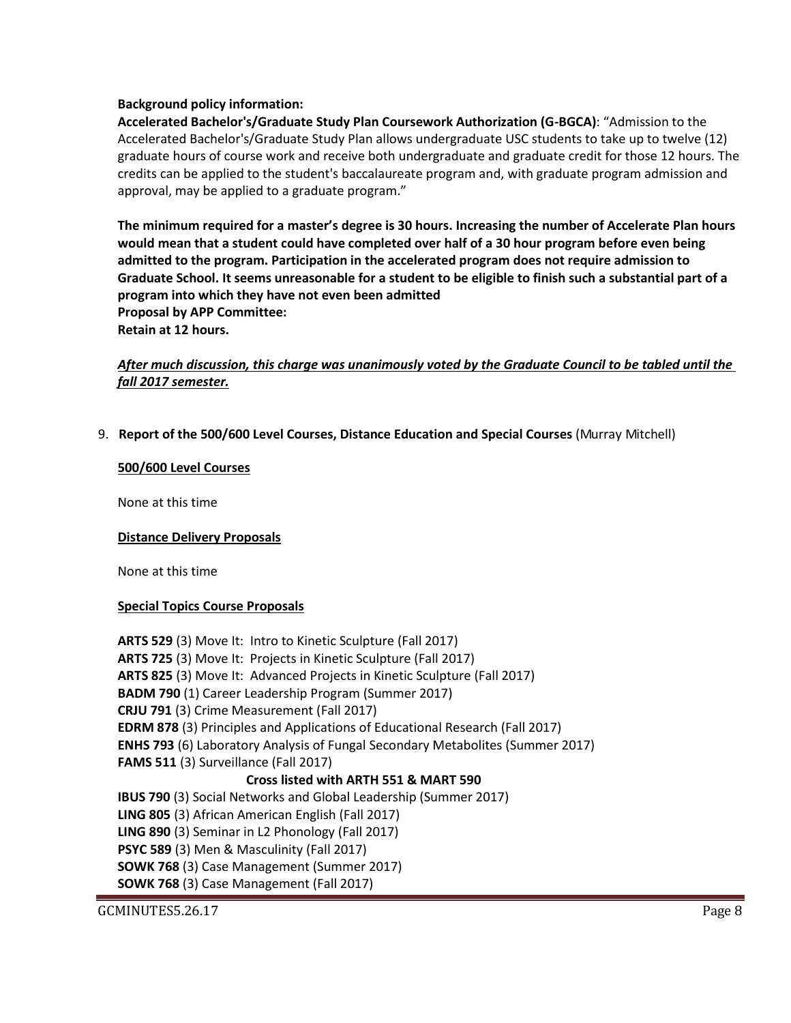### **Background policy information:**

**Accelerated Bachelor's/Graduate Study Plan Coursework Authorization (G-BGCA)**: "Admission to the Accelerated Bachelor's/Graduate Study Plan allows undergraduate USC students to take up to twelve (12) graduate hours of course work and receive both undergraduate and graduate credit for those 12 hours. The credits can be applied to the student's baccalaureate program and, with graduate program admission and approval, may be applied to a graduate program."

**The minimum required for a master's degree is 30 hours. Increasing the number of Accelerate Plan hours would mean that a student could have completed over half of a 30 hour program before even being admitted to the program. Participation in the accelerated program does not require admission to Graduate School. It seems unreasonable for a student to be eligible to finish such a substantial part of a program into which they have not even been admitted Proposal by APP Committee: Retain at 12 hours.** 

# *After much discussion, this charge was unanimously voted by the Graduate Council to be tabled until the fall 2017 semester.*

9. **Report of the 500/600 Level Courses, Distance Education and Special Courses** (Murray Mitchell)

#### **500/600 Level Courses**

None at this time

#### **Distance Delivery Proposals**

None at this time

#### **Special Topics Course Proposals**

**ARTS 529** (3) Move It: Intro to Kinetic Sculpture (Fall 2017) **ARTS 725** (3) Move It: Projects in Kinetic Sculpture (Fall 2017) **ARTS 825** (3) Move It: Advanced Projects in Kinetic Sculpture (Fall 2017) **BADM 790** (1) Career Leadership Program (Summer 2017) **CRJU 791** (3) Crime Measurement (Fall 2017) **EDRM 878** (3) Principles and Applications of Educational Research (Fall 2017) **ENHS 793** (6) Laboratory Analysis of Fungal Secondary Metabolites (Summer 2017) **FAMS 511** (3) Surveillance (Fall 2017)  **Cross listed with ARTH 551 & MART 590 IBUS 790** (3) Social Networks and Global Leadership (Summer 2017) **LING 805** (3) African American English (Fall 2017) **LING 890** (3) Seminar in L2 Phonology (Fall 2017) **PSYC 589** (3) Men & Masculinity (Fall 2017) **SOWK 768** (3) Case Management (Summer 2017) **SOWK 768** (3) Case Management (Fall 2017)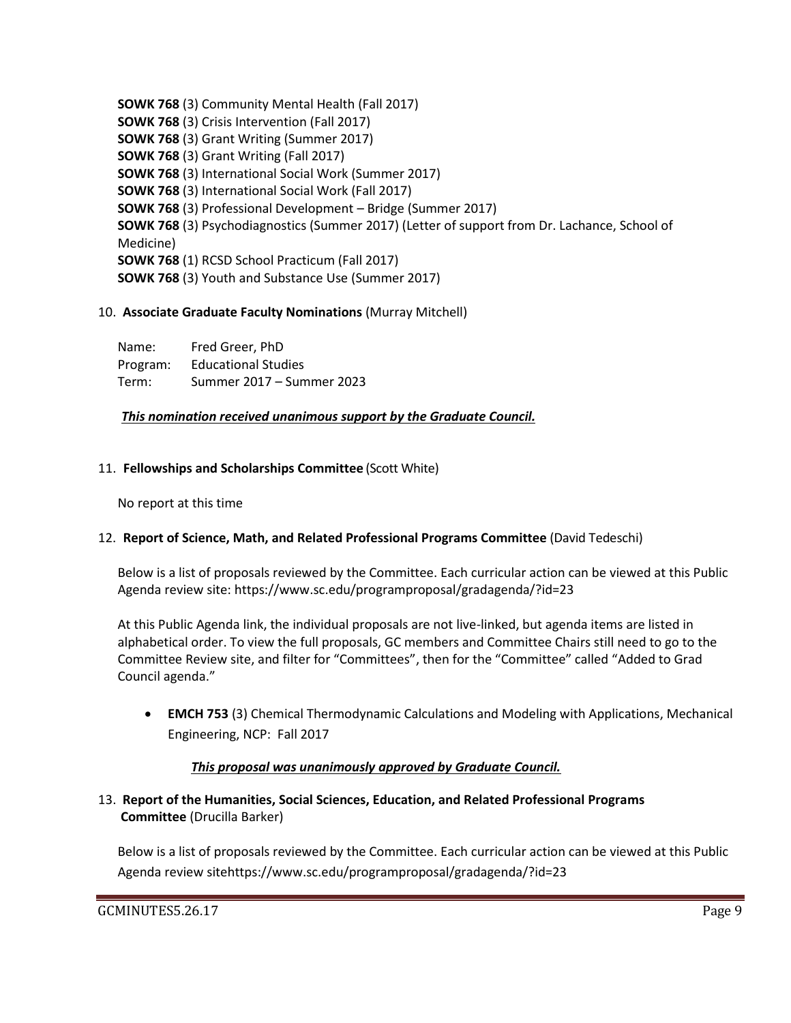**SOWK 768** (3) Community Mental Health (Fall 2017) **SOWK 768** (3) Crisis Intervention (Fall 2017) **SOWK 768** (3) Grant Writing (Summer 2017) **SOWK 768** (3) Grant Writing (Fall 2017) **SOWK 768** (3) International Social Work (Summer 2017) **SOWK 768** (3) International Social Work (Fall 2017) **SOWK 768** (3) Professional Development – Bridge (Summer 2017) **SOWK 768** (3) Psychodiagnostics (Summer 2017) (Letter of support from Dr. Lachance, School of Medicine) **SOWK 768** (1) RCSD School Practicum (Fall 2017) **SOWK 768** (3) Youth and Substance Use (Summer 2017)

# 10. **Associate Graduate Faculty Nominations** (Murray Mitchell)

| Name:    | Fred Greer, PhD            |
|----------|----------------------------|
| Program: | <b>Educational Studies</b> |
| Term:    | Summer 2017 – Summer 2023  |

# *This nomination received unanimous support by the Graduate Council.*

# 11. **Fellowships and Scholarships Committee** (Scott White)

No report at this time

# 12. **Report of Science, Math, and Related Professional Programs Committee** (David Tedeschi)

Below is a list of proposals reviewed by the Committee. Each curricular action can be viewed at this Public Agenda review site:<https://www.sc.edu/programproposal/gradagenda/?id=23>

At this Public Agenda link, the individual proposals are not live-linked, but agenda items are listed in alphabetical order. To view the full proposals, GC members and Committee Chairs still need to go to the Committee Review site, and filter for "Committees", then for the "Committee" called "Added to Grad Council agenda."

 **EMCH 753** (3) Chemical Thermodynamic Calculations and Modeling with Applications, Mechanical Engineering, NCP: Fall 2017

# *This proposal was unanimously approved by Graduate Council.*

# 13. **Report of the Humanities, Social Sciences, Education, and Related Professional Programs Committee** (Drucilla Barker)

Below is a list of proposals reviewed by the Committee. Each curricular action can be viewed at this Public Agenda review sit[ehttps://www.sc.edu/programproposal/gradagenda/?id=23](https://www.sc.edu/programproposal/gradagenda/?id=23)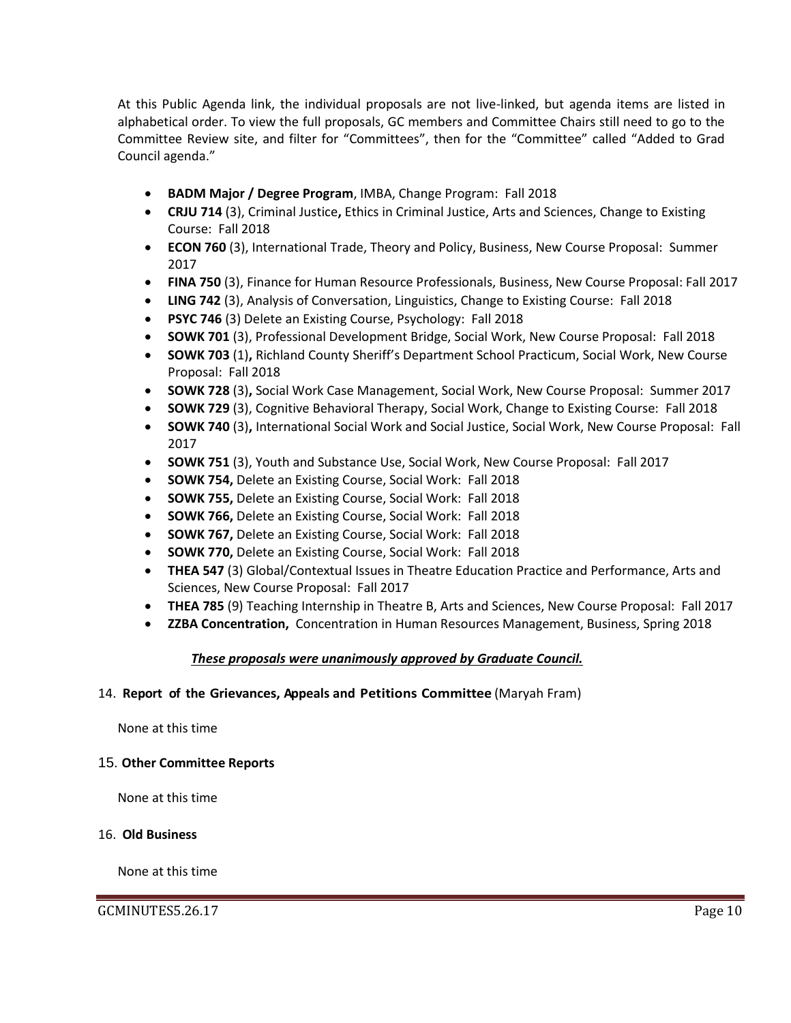At this Public Agenda link, the individual proposals are not live-linked, but agenda items are listed in alphabetical order. To view the full proposals, GC members and Committee Chairs still need to go to the Committee Review site, and filter for "Committees", then for the "Committee" called "Added to Grad Council agenda."

- **BADM Major / Degree Program**, IMBA, Change Program: Fall 2018
- **CRJU 714** (3), Criminal Justice**,** Ethics in Criminal Justice, Arts and Sciences, Change to Existing Course: Fall 2018
- **ECON 760** (3), International Trade, Theory and Policy, Business, New Course Proposal: Summer 2017
- **FINA 750** (3), Finance for Human Resource Professionals, Business, New Course Proposal: Fall 2017
- **LING 742** (3), Analysis of Conversation, Linguistics, Change to Existing Course: Fall 2018
- **PSYC 746** (3) Delete an Existing Course, Psychology: Fall 2018
- **SOWK 701** (3), Professional Development Bridge, Social Work, New Course Proposal: Fall 2018
- **SOWK 703** (1)**,** Richland County Sheriff's Department School Practicum, Social Work, New Course Proposal: Fall 2018
- **SOWK 728** (3)**,** Social Work Case Management, Social Work, New Course Proposal: Summer 2017
- **SOWK 729** (3), Cognitive Behavioral Therapy, Social Work, Change to Existing Course: Fall 2018
- **SOWK 740** (3)**,** International Social Work and Social Justice, Social Work, New Course Proposal: Fall 2017
- **SOWK 751** (3), Youth and Substance Use, Social Work, New Course Proposal: Fall 2017
- **SOWK 754,** Delete an Existing Course, Social Work: Fall 2018
- **SOWK 755,** Delete an Existing Course, Social Work: Fall 2018
- **SOWK 766,** Delete an Existing Course, Social Work: Fall 2018
- **SOWK 767,** Delete an Existing Course, Social Work: Fall 2018
- **SOWK 770,** Delete an Existing Course, Social Work: Fall 2018
- **THEA 547** (3) Global/Contextual Issues in Theatre Education Practice and Performance, Arts and Sciences, New Course Proposal: Fall 2017
- **THEA 785** (9) Teaching Internship in Theatre B, Arts and Sciences, New Course Proposal: Fall 2017
- **ZZBA Concentration,** Concentration in Human Resources Management, Business, Spring 2018

#### *These proposals were unanimously approved by Graduate Council.*

#### 14. **Report of the Grievances, Appeals and Petitions Committee** (Maryah Fram)

None at this time

#### 15. **Other Committee Reports**

None at this time

#### 16. **Old Business**

None at this time

GCMINUTES5.26.17 Page 10